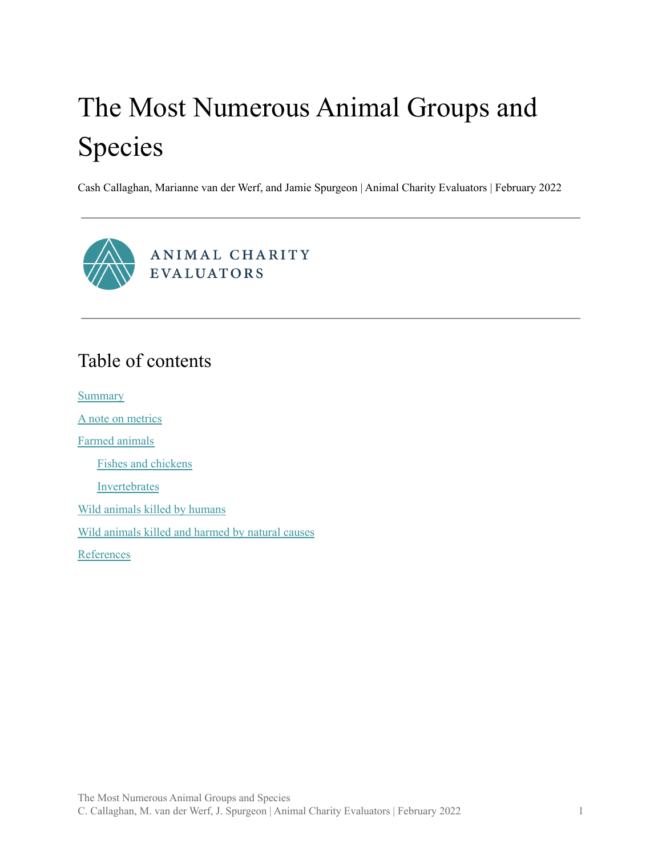# The Most Numerous Animal Groups and Species

Cash Callaghan, Marianne van der Werf, and Jamie Spurgeon | Animal Charity Evaluators | February 2022



# Table of contents

**[Summary](#page-1-0)** 

A note on [metrics](#page-2-0)

Farmed [animals](#page-3-0)

Fishes and [chickens](#page-3-1)

[Invertebrates](#page-5-0)

Wild animals killed by [humans](#page-7-0)

Wild [animals](#page-9-0) killed and harmed by natural causes

[References](#page-10-0)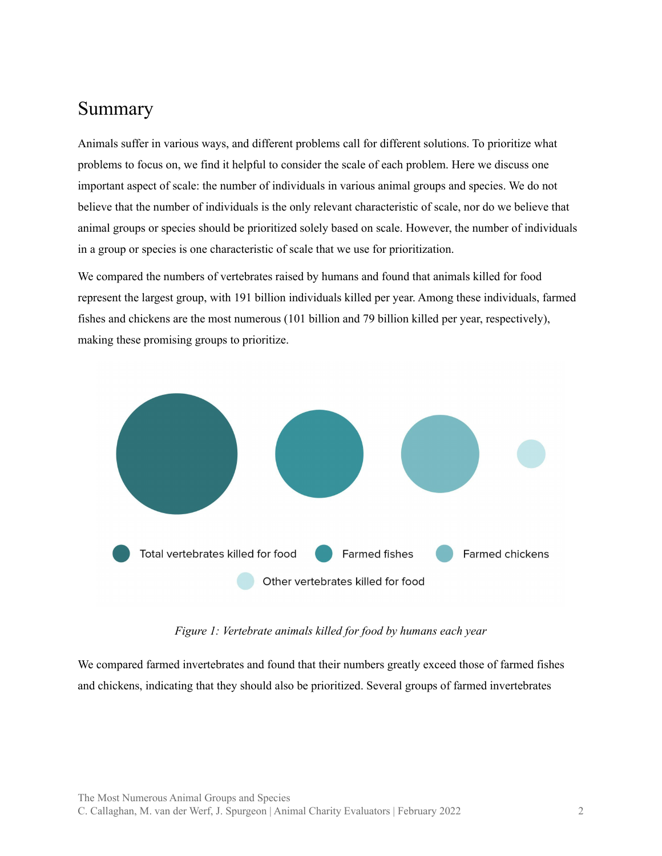## <span id="page-1-0"></span>Summary

Animals suffer in various ways, and different problems call for different solutions. To prioritize what problems to focus on, we find it helpful to consider the scale of each problem. Here we discuss one important aspect of scale: the number of individuals in various animal groups and species. We do not believe that the number of individuals is the only relevant characteristic of scale, nor do we believe that animal groups or species should be prioritized solely based on scale. However, the number of individuals in a group or species is one characteristic of scale that we use for prioritization.

We compared the numbers of vertebrates raised by humans and found that animals killed for food represent the largest group, with 191 billion individuals killed per year. Among these individuals, farmed fishes and chickens are the most numerous (101 billion and 79 billion killed per year, respectively), making these promising groups to prioritize.



*Figure 1: Vertebrate animals killed for food by humans each year*

We compared farmed invertebrates and found that their numbers greatly exceed those of farmed fishes and chickens, indicating that they should also be prioritized. Several groups of farmed invertebrates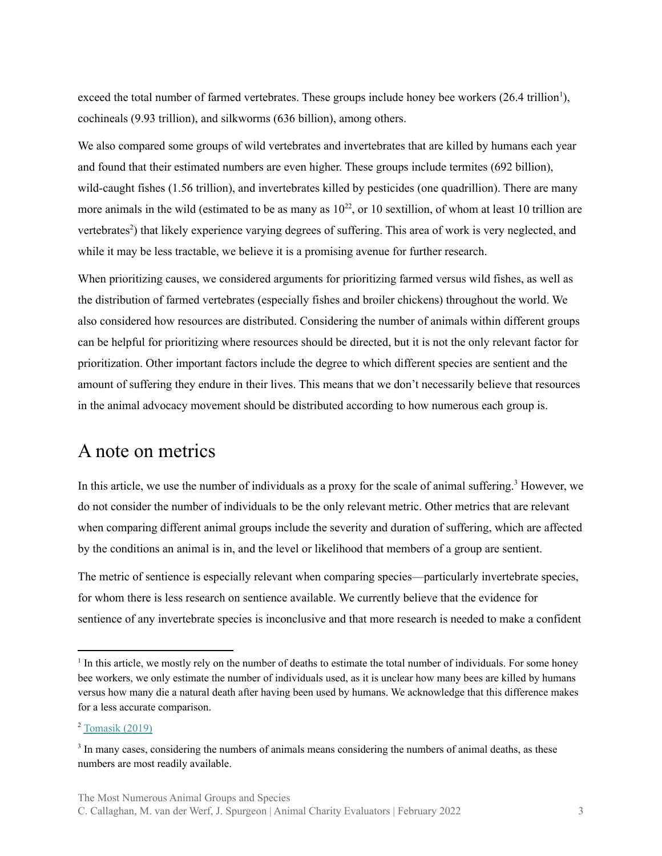exceed the total number of farmed vertebrates. These groups include honey bee workers (26.4 trillion<sup>1</sup>), cochineals (9.93 trillion), and silkworms (636 billion), among others.

We also compared some groups of wild vertebrates and invertebrates that are killed by humans each year and found that their estimated numbers are even higher. These groups include termites (692 billion), wild-caught fishes (1.56 trillion), and invertebrates killed by pesticides (one quadrillion). There are many more animals in the wild (estimated to be as many as  $10^{22}$ , or 10 sextillion, of whom at least 10 trillion are vertebrates<sup>2</sup>) that likely experience varying degrees of suffering. This area of work is very neglected, and while it may be less tractable, we believe it is a promising avenue for further research.

When prioritizing causes, we considered arguments for prioritizing farmed versus wild fishes, as well as the distribution of farmed vertebrates (especially fishes and broiler chickens) throughout the world. We also considered how resources are distributed. Considering the number of animals within different groups can be helpful for prioritizing where resources should be directed, but it is not the only relevant factor for prioritization. Other important factors include the degree to which different species are sentient and the amount of suffering they endure in their lives. This means that we don't necessarily believe that resources in the animal advocacy movement should be distributed according to how numerous each group is.

#### <span id="page-2-0"></span>A note on metrics

In this article, we use the number of individuals as a proxy for the scale of animal suffering.<sup>3</sup> However, we do not consider the number of individuals to be the only relevant metric. Other metrics that are relevant when comparing different animal groups include the severity and duration of suffering, which are affected by the conditions an animal is in, and the level or likelihood that members of a group are sentient.

The metric of sentience is especially relevant when comparing species—particularly invertebrate species, for whom there is less research on sentience available. We currently believe that the evidence for sentience of any invertebrate species is inconclusive and that more research is needed to make a confident

<sup>&</sup>lt;sup>1</sup> In this article, we mostly rely on the number of deaths to estimate the total number of individuals. For some honey bee workers, we only estimate the number of individuals used, as it is unclear how many bees are killed by humans versus how many die a natural death after having been used by humans. We acknowledge that this difference makes for a less accurate comparison.

 $2$  [Tomasik](https://reducing-suffering.org/how-many-wild-animals-are-there/) (2019)

<sup>&</sup>lt;sup>3</sup> In many cases, considering the numbers of animals means considering the numbers of animal deaths, as these numbers are most readily available.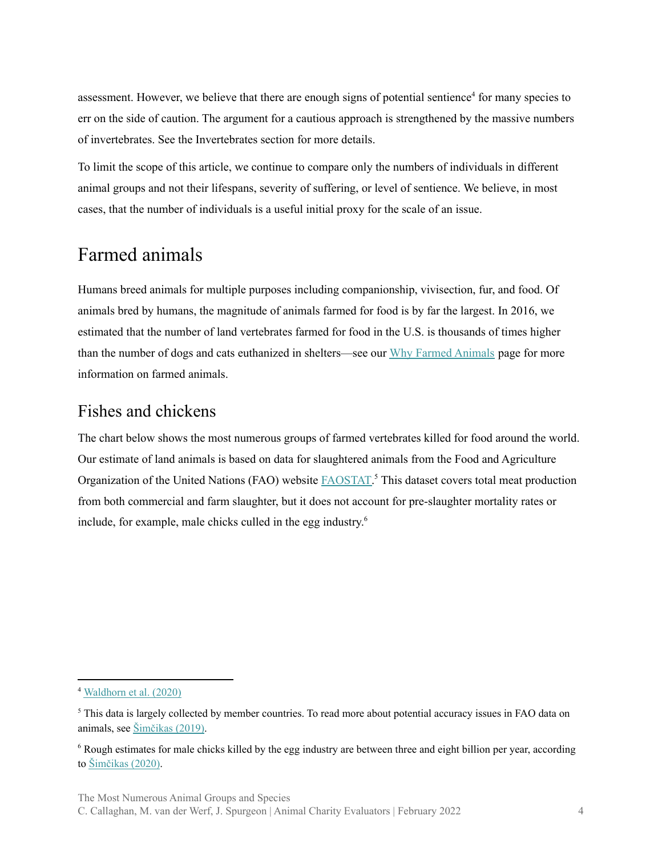assessment. However, we believe that there are enough signs of potential sentience<sup>4</sup> for many species to err on the side of caution. The argument for a cautious approach is strengthened by the massive numbers of invertebrates. See the Invertebrates section for more details.

To limit the scope of this article, we continue to compare only the numbers of individuals in different animal groups and not their lifespans, severity of suffering, or level of sentience. We believe, in most cases, that the number of individuals is a useful initial proxy for the scale of an issue.

### <span id="page-3-0"></span>Farmed animals

Humans breed animals for multiple purposes including companionship, vivisection, fur, and food. Of animals bred by humans, the magnitude of animals farmed for food is by far the largest. In 2016, we estimated that the number of land vertebrates farmed for food in the U.S. is thousands of times higher than the number of dogs and cats euthanized in shelters—see our Why Farmed [Animals](https://animalcharityevaluators.org/donation-advice/why-farmed-animals/) page for more information on farmed animals.

#### <span id="page-3-1"></span>Fishes and chickens

The chart below shows the most numerous groups of farmed vertebrates killed for food around the world. Our estimate of land animals is based on data for slaughtered animals from the Food and Agriculture Organization of the United Nations (FAO) website **FAOSTAT**.<sup>5</sup> This dataset covers total meat production from both commercial and farm slaughter, but it does not account for pre-slaughter mortality rates or include, for example, male chicks culled in the egg industry. 6

<sup>4</sup> [Waldhorn](https://rethinkpriorities.org/invertebrate-sentience-table) et al. (2020)

<sup>&</sup>lt;sup>5</sup> This data is largely collected by member countries. To read more about potential accuracy issues in FAO data on animals, see [Šimčikas](https://rethinkpriorities.org/publications/accuracy-issues-in-fao-animal-numbers) (2019).

<sup>&</sup>lt;sup>6</sup> Rough estimates for male chicks killed by the egg industry are between three and eight billion per year, according to [Šimčikas](https://rethinkpriorities.org/publications/estimates-of-global-captive-vertebrate-numbers) (2020).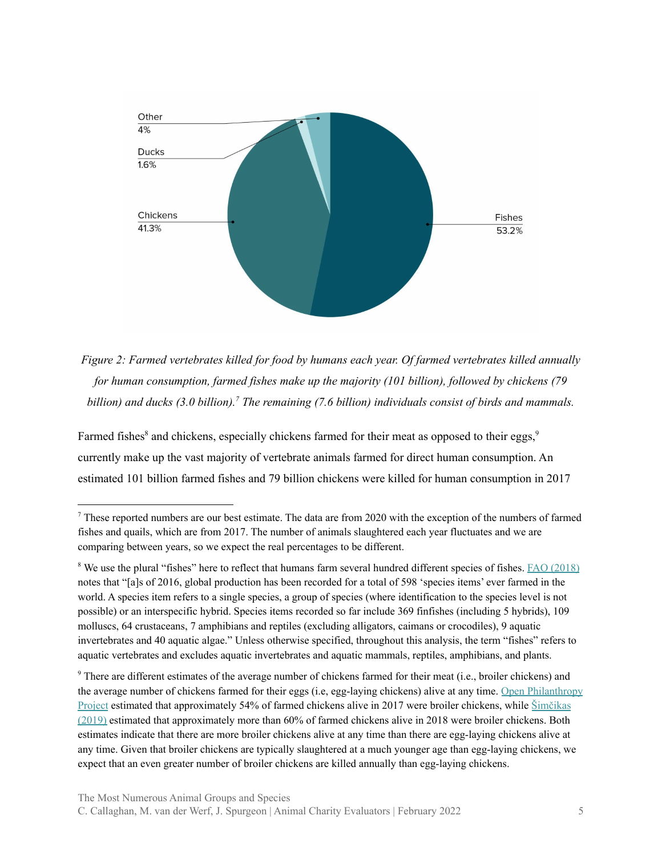

*Figure 2: Farmed vertebrates killed for food by humans each year. Of farmed vertebrates killed annually for human consumption, farmed fishes make up the majority (101 billion), followed by chickens (79 billion) and ducks (3.0 billion). The remaining (7.6 billion) individuals consist of birds and mammals. 7*

Farmed fishes<sup>8</sup> and chickens, especially chickens farmed for their meat as opposed to their eggs,<sup>9</sup> currently make up the vast majority of vertebrate animals farmed for direct human consumption. An estimated 101 billion farmed fishes and 79 billion chickens were killed for human consumption in 2017

<sup>&</sup>lt;sup>7</sup> These reported numbers are our best estimate. The data are from 2020 with the exception of the numbers of farmed fishes and quails, which are from 2017. The number of animals slaughtered each year fluctuates and we are comparing between years, so we expect the real percentages to be different.

<sup>&</sup>lt;sup>8</sup> We use the plural "fishes" here to reflect that humans farm several hundred different species of fishes. **FAO [\(2018\)](http://www.fao.org/3/i9540en/i9540en.pdf)** notes that "[a]s of 2016, global production has been recorded for a total of 598 'species items' ever farmed in the world. A species item refers to a single species, a group of species (where identification to the species level is not possible) or an interspecific hybrid. Species items recorded so far include 369 finfishes (including 5 hybrids), 109 molluscs, 64 crustaceans, 7 amphibians and reptiles (excluding alligators, caimans or crocodiles), 9 aquatic invertebrates and 40 aquatic algae." Unless otherwise specified, throughout this analysis, the term "fishes" refers to aquatic vertebrates and excludes aquatic invertebrates and aquatic mammals, reptiles, amphibians, and plants.

<sup>9</sup> There are different estimates of the average number of chickens farmed for their meat (i.e., broiler chickens) and the average number of chickens farmed for their eggs (i.e, egg-laying chickens) alive at any time. Open [Philanthropy](https://docs.google.com/spreadsheets/d/1uF3x_DuG13V6NpkP4DQyFutZI6Pwppy5R6qGArPZ1h0/edit#gid=265676572) [Project](https://docs.google.com/spreadsheets/d/1uF3x_DuG13V6NpkP4DQyFutZI6Pwppy5R6qGArPZ1h0/edit#gid=265676572) estimated that approximately 54% of farmed chickens alive in 2017 were broiler chickens, while [Šimčikas](https://rethinkpriorities.org/publications/estimates-of-global-captive-vertebrate-numbers) [\(2019\)](https://rethinkpriorities.org/publications/estimates-of-global-captive-vertebrate-numbers) estimated that approximately more than 60% of farmed chickens alive in 2018 were broiler chickens. Both estimates indicate that there are more broiler chickens alive at any time than there are egg-laying chickens alive at any time. Given that broiler chickens are typically slaughtered at a much younger age than egg-laying chickens, we expect that an even greater number of broiler chickens are killed annually than egg-laying chickens.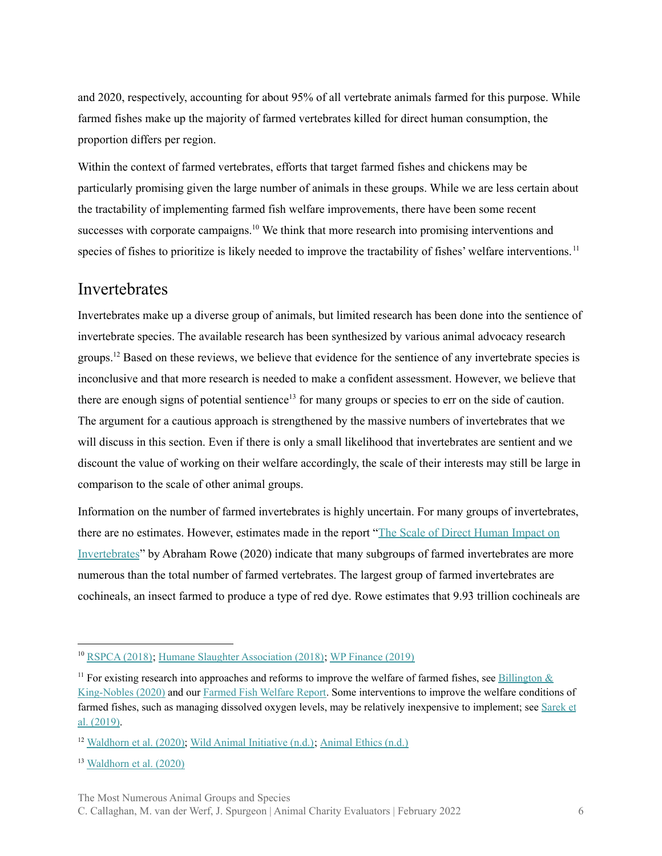and 2020, respectively, accounting for about 95% of all vertebrate animals farmed for this purpose. While farmed fishes make up the majority of farmed vertebrates killed for direct human consumption, the proportion differs per region.

Within the context of farmed vertebrates, efforts that target farmed fishes and chickens may be particularly promising given the large number of animals in these groups. While we are less certain about the tractability of implementing farmed fish welfare improvements, there have been some recent successes with corporate campaigns. $10$  We think that more research into promising interventions and species of fishes to prioritize is likely needed to improve the tractability of fishes' welfare interventions.<sup>11</sup>

#### <span id="page-5-0"></span>**Invertebrates**

Invertebrates make up a diverse group of animals, but limited research has been done into the sentience of invertebrate species. The available research has been synthesized by various animal advocacy research groups.<sup>12</sup> Based on these reviews, we believe that evidence for the sentience of any invertebrate species is inconclusive and that more research is needed to make a confident assessment. However, we believe that there are enough signs of potential sentience<sup>13</sup> for many groups or species to err on the side of caution. The argument for a cautious approach is strengthened by the massive numbers of invertebrates that we will discuss in this section. Even if there is only a small likelihood that invertebrates are sentient and we discount the value of working on their welfare accordingly, the scale of their interests may still be large in comparison to the scale of other animal groups.

Information on the number of farmed invertebrates is highly uncertain. For many groups of invertebrates, there are no estimates. However, estimates made in the report "The Scale of Direct [Human](https://rethinkpriorities.org/publications/the-scale-of-direct-human-impact-on-invertebrates) Impact on [Invertebrates](https://rethinkpriorities.org/publications/the-scale-of-direct-human-impact-on-invertebrates)" by Abraham Rowe (2020) indicate that many subgroups of farmed invertebrates are more numerous than the total number of farmed vertebrates. The largest group of farmed invertebrates are cochineals, an insect farmed to produce a type of red dye. Rowe estimates that 9.93 trillion cochineals are

<sup>10</sup> [RSPCA](https://science.rspca.org.uk/documents/1494935/9042554/RSPCA+welfare+standards+for+farmed+Rainbow+trout+%28PDF+2.29MB%29.pdf/36aeab04-e2f1-8875-d8ae-f7c4ff724c4d?version=1.0&t=1557668422472&download=true) (2018); Humane Slaughter [Association](https://www.youtube.com/watch?v=sjXfvJbl8MY&t=241s) (2018); WP [Finance](https://translate.google.co.uk/translate?sl=auto&tl=en&u=https%3A%2F%2Ffinanse.wp.pl%2Ftesco-rezygnuje-ze-sprzedazy-zywych-karpi-klienci-kupia-tylko-mrozone-ryby-6428709232146561a) (2019)

<sup>&</sup>lt;sup>11</sup> For existing research into approaches and reforms to improve the welfare of farmed fishes, see [Billington](https://6f025a9b-7462-434d-abfa-6f1d652e15fe.usrfiles.com/ugd/6f025a_dacb45c052514dbbb30ecbff7cd600e7.pdf?fbclid=IwAR0mJHzNnkR6f0OtnAlKDCGOqxuzkUjcpNR5J0RtxMU2lm8edBVNB5obRn0)  $\&$ [King-Nobles](https://6f025a9b-7462-434d-abfa-6f1d652e15fe.usrfiles.com/ugd/6f025a_dacb45c052514dbbb30ecbff7cd600e7.pdf?fbclid=IwAR0mJHzNnkR6f0OtnAlKDCGOqxuzkUjcpNR5J0RtxMU2lm8edBVNB5obRn0) (2020) and our Farmed Fish [Welfare](https://animalcharityevaluators.org/research/other-topics/farmed-fish-welfare-report/#reforms-improve-welfare) Report. Some interventions to improve the welfare conditions of farmed fishes, such as managing dissolved oxygen levels, may be relatively inexpensive to implement; see [Sarek](https://drive.google.com/file/d/1vHhpzJje2UKOu2CvvaufbLyiu8WmuJfq/view) et al. [\(2019\).](https://drive.google.com/file/d/1vHhpzJje2UKOu2CvvaufbLyiu8WmuJfq/view)

<sup>&</sup>lt;sup>12</sup> [Waldhorn](https://rethinkpriorities.org/invertebrate-sentience-table) et al.  $(2020)$ ; Wild Animal [Initiative](https://www.wildanimalinitiative.org/research)  $(n,d)$ ; [Animal](https://www.animal-ethics.org/sentience-section/animal-sentience/) Ethics  $(n,d)$ .

<sup>13</sup> [Waldhorn](https://rethinkpriorities.org/invertebrate-sentience-table) et al. (2020)

The Most Numerous Animal Groups and Species

C. Callaghan, M. van der Werf, J. Spurgeon | Animal Charity Evaluators | February 2022 6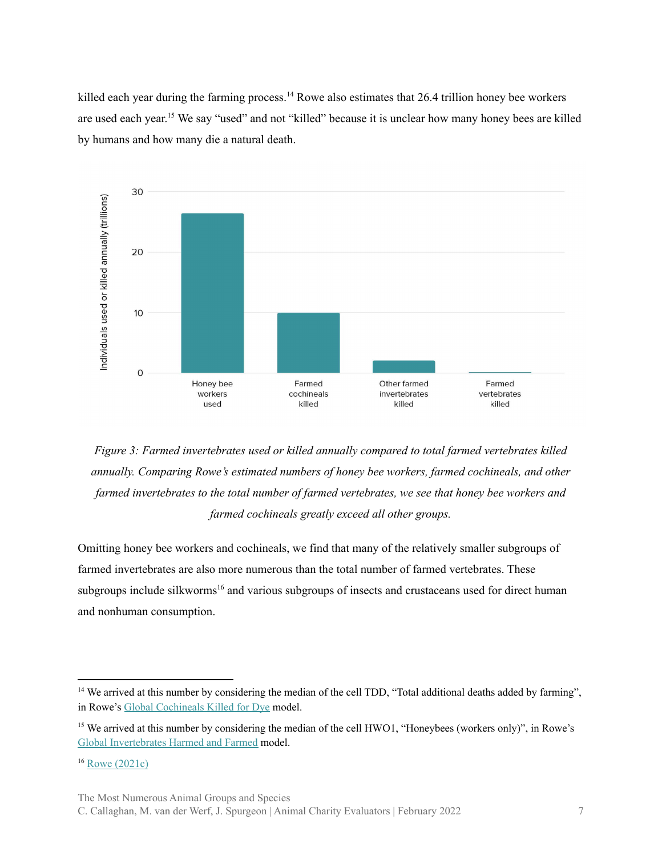killed each year during the farming process.<sup>14</sup> Rowe also estimates that 26.4 trillion honey bee workers are used each year.<sup>15</sup> We say "used" and not "killed" because it is unclear how many honey bees are killed by humans and how many die a natural death.





Omitting honey bee workers and cochineals, we find that many of the relatively smaller subgroups of farmed invertebrates are also more numerous than the total number of farmed vertebrates. These subgroups include silkworms<sup>16</sup> and various subgroups of insects and crustaceans used for direct human and nonhuman consumption.

The Most Numerous Animal Groups and Species

<sup>&</sup>lt;sup>14</sup> We arrived at this number by considering the median of the cell TDD, "Total additional deaths added by farming", in Rowe's Global [Cochineals](https://www.getguesstimate.com/models/14905) Killed for Dye model.

<sup>&</sup>lt;sup>15</sup> We arrived at this number by considering the median of the cell HWO1, "Honeybees (workers only)", in [Rowe's](https://www.getguesstimate.com/models/16744) Global [Invertebrates](https://www.getguesstimate.com/models/16744) Harmed and Farmed model.

<sup>16</sup> Rowe [\(2021c\)](https://forum.effectivealtruism.org/posts/mZEuNcwTZxLnXrZR6/silk-production-global-scale-and-animal-welfare-issues)

C. Callaghan, M. van der Werf, J. Spurgeon | Animal Charity Evaluators | February 2022 7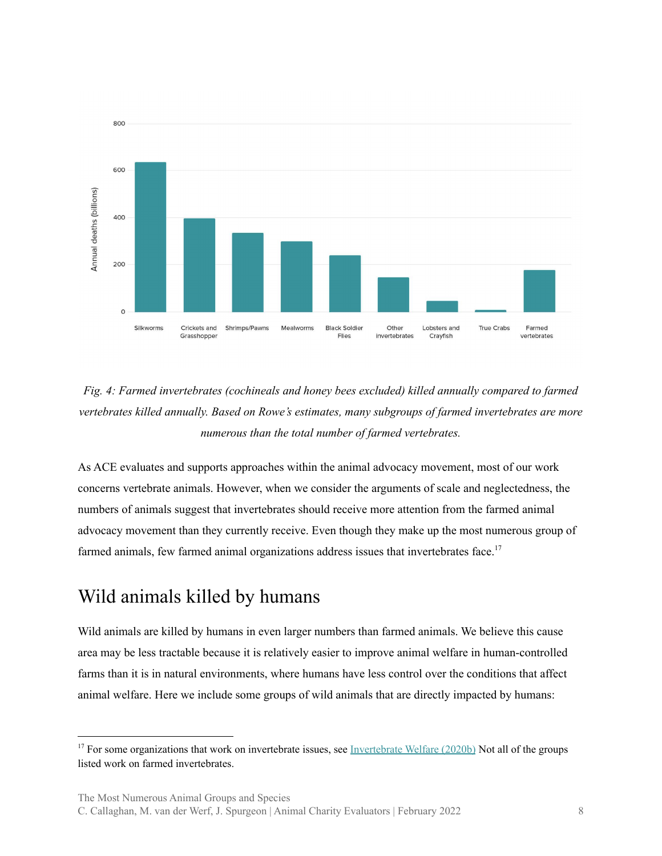

*Fig. 4: Farmed invertebrates (cochineals and honey bees excluded) killed annually compared to farmed vertebrates killed annually. Based on Rowe's estimates, many subgroups of farmed invertebrates are more numerous than the total number of farmed vertebrates.*

As ACE evaluates and supports approaches within the animal advocacy movement, most of our work concerns vertebrate animals. However, when we consider the arguments of scale and neglectedness, the numbers of animals suggest that invertebrates should receive more attention from the farmed animal advocacy movement than they currently receive. Even though they make up the most numerous group of farmed animals, few farmed animal organizations address issues that invertebrates face.<sup>17</sup>

# <span id="page-7-0"></span>Wild animals killed by humans

Wild animals are killed by humans in even larger numbers than farmed animals. We believe this cause area may be less tractable because it is relatively easier to improve animal welfare in human-controlled farms than it is in natural environments, where humans have less control over the conditions that affect animal welfare. Here we include some groups of wild animals that are directly impacted by humans:

The Most Numerous Animal Groups and Species

C. Callaghan, M. van der Werf, J. Spurgeon | Animal Charity Evaluators | February 2022 8

<sup>&</sup>lt;sup>17</sup> For some organizations that work on invertebrate issues, see [Invertebrate](https://www.invertebratewelfare.org/newsletter/2020-08) Welfare (2020b) Not all of the groups listed work on farmed invertebrates.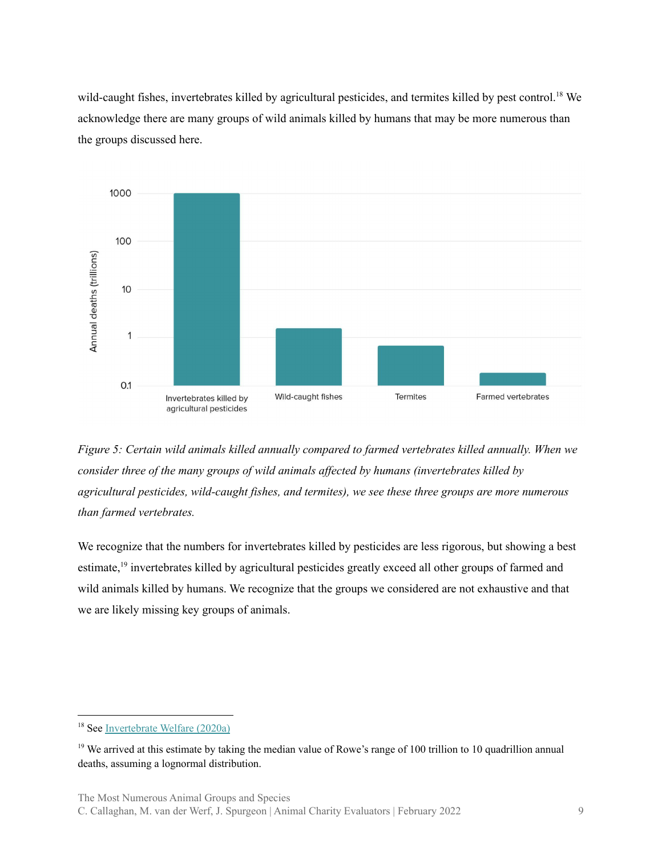wild-caught fishes, invertebrates killed by agricultural pesticides, and termites killed by pest control.<sup>18</sup> We acknowledge there are many groups of wild animals killed by humans that may be more numerous than the groups discussed here.





We recognize that the numbers for invertebrates killed by pesticides are less rigorous, but showing a best estimate,<sup>19</sup> invertebrates killed by agricultural pesticides greatly exceed all other groups of farmed and wild animals killed by humans. We recognize that the groups we considered are not exhaustive and that we are likely missing key groups of animals.

The Most Numerous Animal Groups and Species

<sup>18</sup> See [Invertebrate](https://www.invertebratewelfare.org/newsletter/2020-07?fbclid=IwAR3Ou595ULTEINUfcB7aA1vcg43MnEsXlhJtV6FKPYfp36K9yMOBnSKweSk) Welfare (2020a)

<sup>&</sup>lt;sup>19</sup> We arrived at this estimate by taking the median value of Rowe's range of 100 trillion to 10 quadrillion annual deaths, assuming a lognormal distribution.

C. Callaghan, M. van der Werf, J. Spurgeon | Animal Charity Evaluators | February 2022 9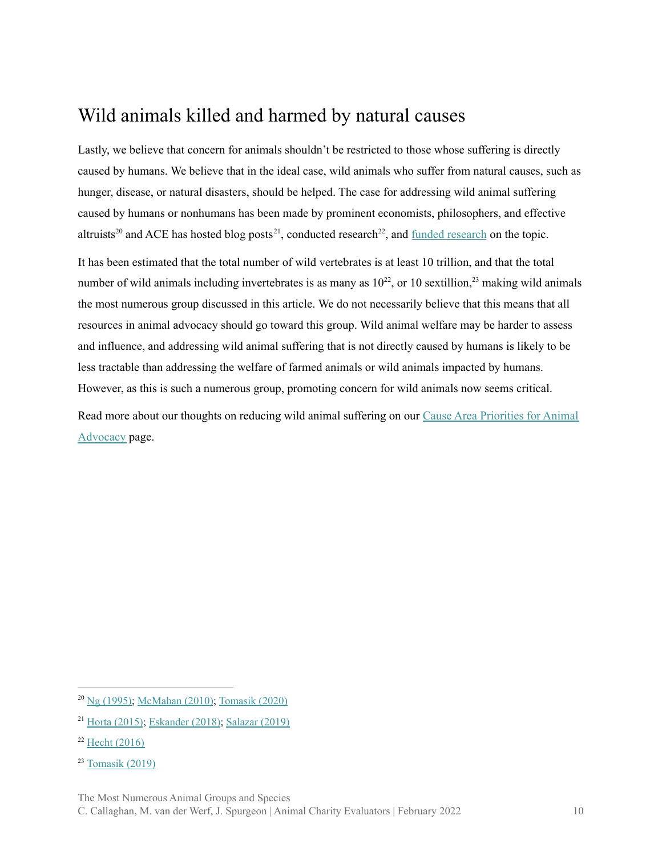# <span id="page-9-0"></span>Wild animals killed and harmed by natural causes

Lastly, we believe that concern for animals shouldn't be restricted to those whose suffering is directly caused by humans. We believe that in the ideal case, wild animals who suffer from natural causes, such as hunger, disease, or natural disasters, should be helped. The case for addressing wild animal suffering caused by humans or nonhumans has been made by prominent economists, philosophers, and effective altruists<sup>20</sup> and ACE has hosted blog posts<sup>21</sup>, conducted [research](https://researchfund.animalcharityevaluators.org/funded-projects/examining-the-harm-caused-by-crop-cultivation-to-vertebrate-wild-animals-in-the-united-states/)<sup>22</sup>, and  $\frac{\text{funded research}}{\text{vled research}}$  on the topic.

It has been estimated that the total number of wild vertebrates is at least 10 trillion, and that the total number of wild animals including invertebrates is as many as  $10^{22}$ , or 10 sextillion,  $2^3$  making wild animals the most numerous group discussed in this article. We do not necessarily believe that this means that all resources in animal advocacy should go toward this group. Wild animal welfare may be harder to assess and influence, and addressing wild animal suffering that is not directly caused by humans is likely to be less tractable than addressing the welfare of farmed animals or wild animals impacted by humans. However, as this is such a numerous group, promoting concern for wild animals now seems critical.

Read more about our thoughts on reducing wild animal suffering on our Cause Area [Priorities](https://animalcharityevaluators.org/advocacy-interventions/prioritizing-causes/causes-we-consider/#reducing-wild-animal-suffering) for Animal [Advocacy](https://animalcharityevaluators.org/advocacy-interventions/prioritizing-causes/causes-we-consider/#reducing-wild-animal-suffering) page.

The Most Numerous Animal Groups and Species

<sup>20</sup> Ng [\(1995\);](https://link.springer.com/article/10.1007%2FBF00852469) [McMahan](https://opinionator.blogs.nytimes.com/2010/09/19/the-meat-eaters/) (2010); [Tomasik](https://longtermrisk.org/the-importance-of-wild-animal-suffering/) (2020)

<sup>21</sup> Horta [\(2015\)](https://animalcharityevaluators.org/blog/why-the-situation-of-animals-in-the-wild-should-concern-us/); [Eskander](https://animalcharityevaluators.org/blog/to-reduce-wild-animal-suffering-we-need-to-find-out-if-the-cause-area-is-tractable/) (2018); [Salazar](https://animalcharityevaluators.org/blog/why-is-welfare-biology-important/) (2019)

 $22$  Hecht [\(2016\)](https://animalcharityevaluators.org/blog/wild-animal-suffering-survey-report/)

<sup>23</sup> [Tomasik](https://reducing-suffering.org/how-many-wild-animals-are-there/) (2019)

C. Callaghan, M. van der Werf, J. Spurgeon | Animal Charity Evaluators | February 2022 10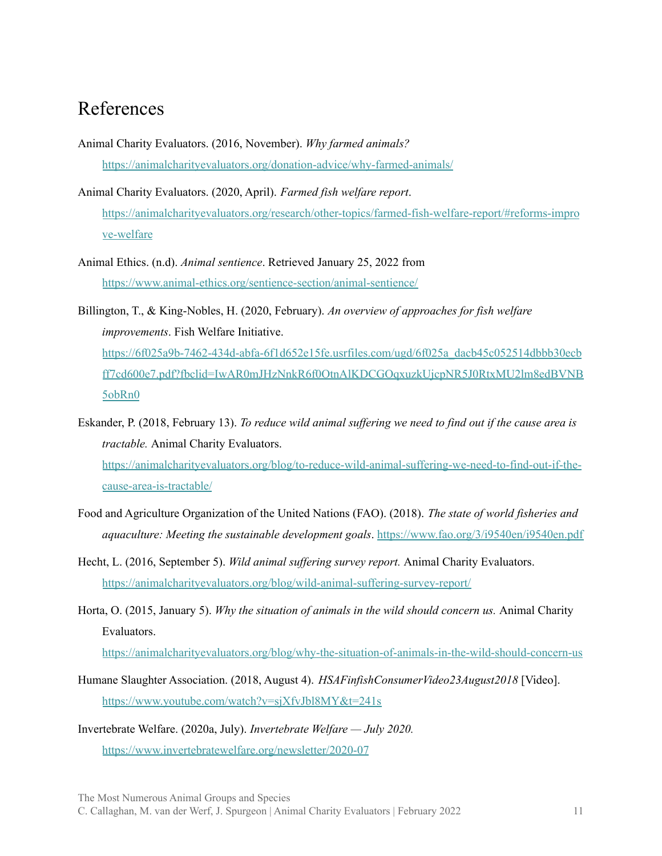#### <span id="page-10-0"></span>References

- Animal Charity Evaluators. (2016, November). *Why farmed animals?* <https://animalcharityevaluators.org/donation-advice/why-farmed-animals/>
- Animal Charity Evaluators. (2020, April). *Farmed fish welfare report*. [https://animalcharityevaluators.org/research/other-topics/farmed-fish-welfare-report/#reforms-impro](https://animalcharityevaluators.org/research/other-topics/farmed-fish-welfare-report/#reforms-improve-welfare) [ve-welfare](https://animalcharityevaluators.org/research/other-topics/farmed-fish-welfare-report/#reforms-improve-welfare)
- Animal Ethics. (n.d). *Animal sentience*. Retrieved January 25, 2022 from <https://www.animal-ethics.org/sentience-section/animal-sentience/>
- Billington, T., & King-Nobles, H. (2020, February). *An overview of approaches for fish welfare improvements*. Fish Welfare Initiative. [https://6f025a9b-7462-434d-abfa-6f1d652e15fe.usrfiles.com/ugd/6f025a\\_dacb45c052514dbbb30ecb](https://6f025a9b-7462-434d-abfa-6f1d652e15fe.usrfiles.com/ugd/6f025a_dacb45c052514dbbb30ecbff7cd600e7.pdf?fbclid=IwAR0mJHzNnkR6f0OtnAlKDCGOqxuzkUjcpNR5J0RtxMU2lm8edBVNB5obRn0) [ff7cd600e7.pdf?fbclid=IwAR0mJHzNnkR6f0OtnAlKDCGOqxuzkUjcpNR5J0RtxMU2lm8edBVNB](https://6f025a9b-7462-434d-abfa-6f1d652e15fe.usrfiles.com/ugd/6f025a_dacb45c052514dbbb30ecbff7cd600e7.pdf?fbclid=IwAR0mJHzNnkR6f0OtnAlKDCGOqxuzkUjcpNR5J0RtxMU2lm8edBVNB5obRn0) [5obRn0](https://6f025a9b-7462-434d-abfa-6f1d652e15fe.usrfiles.com/ugd/6f025a_dacb45c052514dbbb30ecbff7cd600e7.pdf?fbclid=IwAR0mJHzNnkR6f0OtnAlKDCGOqxuzkUjcpNR5J0RtxMU2lm8edBVNB5obRn0)

Eskander, P. (2018, February 13). *To reduce wild animal suf ering we need to find out if the cause area is tractable.* Animal Charity Evaluators. [https://animalcharityevaluators.org/blog/to-reduce-wild-animal-suffering-we-need-to-find-out-if-the](https://animalcharityevaluators.org/blog/to-reduce-wild-animal-suffering-we-need-to-find-out-if-the-cause-area-is-tractable/)[cause-area-is-tractable/](https://animalcharityevaluators.org/blog/to-reduce-wild-animal-suffering-we-need-to-find-out-if-the-cause-area-is-tractable/)

- Food and Agriculture Organization of the United Nations (FAO). (2018). *The state of world fisheries and aquaculture: Meeting the sustainable development goals*. <https://www.fao.org/3/i9540en/i9540en.pdf>
- Hecht, L. (2016, September 5). *Wild animal suf ering survey report.* Animal Charity Evaluators. <https://animalcharityevaluators.org/blog/wild-animal-suffering-survey-report/>
- Horta, O. (2015, January 5). *Why the situation of animals in the wild should concern us.* Animal Charity Evaluators.

[https://animalcharityevaluators.org/blog/why-the-situation-of-animals-in-the-wild-should-concern-us](https://animalcharityevaluators.org/blog/why-the-situation-of-animals-in-the-wild-should-concern-us/)

Humane Slaughter Association. (2018, August 4). *HSAFinfishConsumerVideo23August2018* [Video]. <https://www.youtube.com/watch?v=sjXfvJbl8MY&t=241s>

Invertebrate Welfare. (2020a, July). *Invertebrate Welfare — July 2020.* <https://www.invertebratewelfare.org/newsletter/2020-07>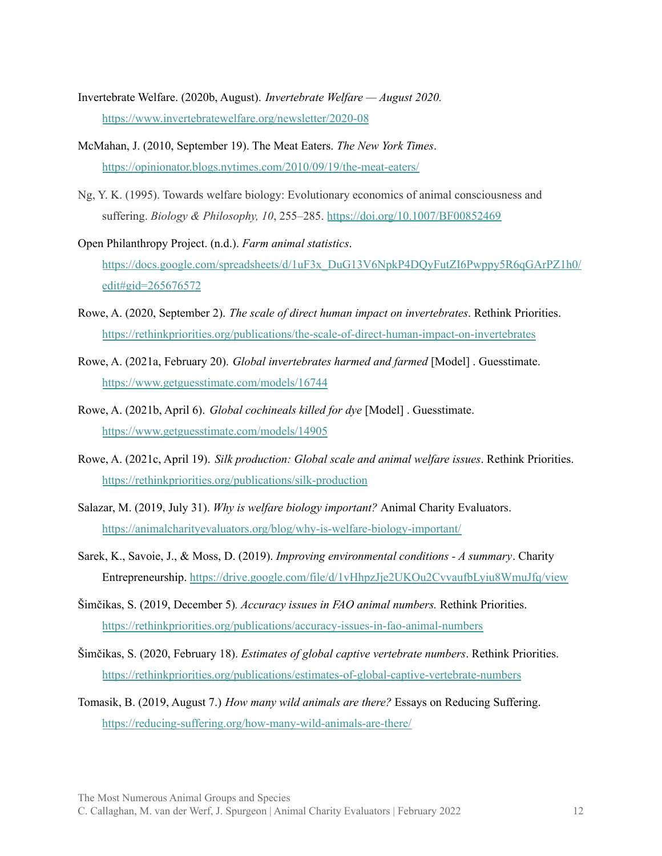- Invertebrate Welfare. (2020b, August). *Invertebrate Welfare — August 2020.* <https://www.invertebratewelfare.org/newsletter/2020-08>
- McMahan, J. (2010, September 19). The Meat Eaters. *The New York Times*. <https://opinionator.blogs.nytimes.com/2010/09/19/the-meat-eaters/>
- Ng, Y. K. (1995). Towards welfare biology: Evolutionary economics of animal consciousness and suffering. *Biology & Philosophy, 10*, 255–285. <https://doi.org/10.1007/BF00852469>
- Open Philanthropy Project. (n.d.). *Farm animal statistics*. [https://docs.google.com/spreadsheets/d/1uF3x\\_DuG13V6NpkP4DQyFutZI6Pwppy5R6qGArPZ1h0/](https://docs.google.com/spreadsheets/d/1uF3x_DuG13V6NpkP4DQyFutZI6Pwppy5R6qGArPZ1h0/edit#gid=265676572) [edit#gid=265676572](https://docs.google.com/spreadsheets/d/1uF3x_DuG13V6NpkP4DQyFutZI6Pwppy5R6qGArPZ1h0/edit#gid=265676572)
- Rowe, A. (2020, September 2). *The scale of direct human impact on invertebrates*. Rethink Priorities. <https://rethinkpriorities.org/publications/the-scale-of-direct-human-impact-on-invertebrates>
- Rowe, A. (2021a, February 20). *Global invertebrates harmed and farmed* [Model] . Guesstimate. <https://www.getguesstimate.com/models/16744>
- Rowe, A. (2021b, April 6). *Global cochineals killed for dye* [Model] . Guesstimate. <https://www.getguesstimate.com/models/14905>
- Rowe, A. (2021c, April 19). *Silk production: Global scale and animal welfare issues*. Rethink Priorities. <https://rethinkpriorities.org/publications/silk-production>
- Salazar, M. (2019, July 31). *Why is welfare biology important?* Animal Charity Evaluators. <https://animalcharityevaluators.org/blog/why-is-welfare-biology-important/>
- Sarek, K., Savoie, J., & Moss, D. (2019). *Improving environmental conditions - A summary*. Charity Entrepreneurship. <https://drive.google.com/file/d/1vHhpzJje2UKOu2CvvaufbLyiu8WmuJfq/view>
- Šimčikas, S. (2019, December 5)*. Accuracy issues in FAO animal numbers.* Rethink Priorities. <https://rethinkpriorities.org/publications/accuracy-issues-in-fao-animal-numbers>
- Šimčikas, S. (2020, February 18). *Estimates of global captive vertebrate numbers*. Rethink Priorities. <https://rethinkpriorities.org/publications/estimates-of-global-captive-vertebrate-numbers>
- Tomasik, B. (2019, August 7.) *How many wild animals are there?* Essays on Reducing Suffering. <https://reducing-suffering.org/how-many-wild-animals-are-there/>